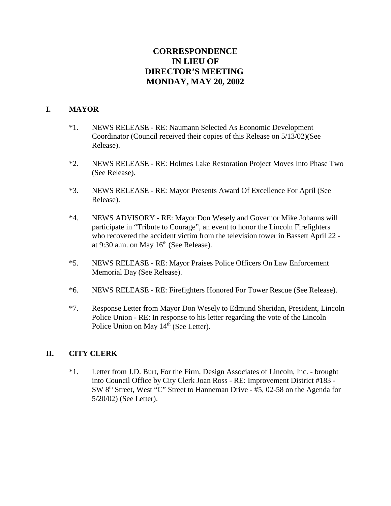# **CORRESPONDENCE IN LIEU OF DIRECTOR'S MEETING MONDAY, MAY 20, 2002**

### **I. MAYOR**

- \*1. NEWS RELEASE RE: Naumann Selected As Economic Development Coordinator (Council received their copies of this Release on 5/13/02)(See Release).
- \*2. NEWS RELEASE RE: Holmes Lake Restoration Project Moves Into Phase Two (See Release).
- \*3. NEWS RELEASE RE: Mayor Presents Award Of Excellence For April (See Release).
- \*4. NEWS ADVISORY RE: Mayor Don Wesely and Governor Mike Johanns will participate in "Tribute to Courage", an event to honor the Lincoln Firefighters who recovered the accident victim from the television tower in Bassett April 22 at 9:30 a.m. on May  $16<sup>th</sup>$  (See Release).
- \*5. NEWS RELEASE RE: Mayor Praises Police Officers On Law Enforcement Memorial Day (See Release).
- \*6. NEWS RELEASE RE: Firefighters Honored For Tower Rescue (See Release).
- \*7. Response Letter from Mayor Don Wesely to Edmund Sheridan, President, Lincoln Police Union - RE: In response to his letter regarding the vote of the Lincoln Police Union on May  $14<sup>th</sup>$  (See Letter).

#### **II. CITY CLERK**

\*1. Letter from J.D. Burt, For the Firm, Design Associates of Lincoln, Inc. - brought into Council Office by City Clerk Joan Ross - RE: Improvement District #183 - SW 8<sup>th</sup> Street, West "C" Street to Hanneman Drive - #5, 02-58 on the Agenda for 5/20/02) (See Letter).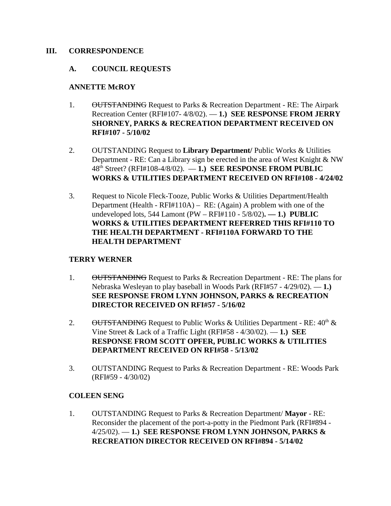### **III. CORRESPONDENCE**

### **A. COUNCIL REQUESTS**

### **ANNETTE McROY**

- 1. OUTSTANDING Request to Parks & Recreation Department RE: The Airpark Recreation Center (RFI#107- 4/8/02). — **1.) SEE RESPONSE FROM JERRY SHORNEY, PARKS & RECREATION DEPARTMENT RECEIVED ON RFI#107 - 5/10/02**
- 2. OUTSTANDING Request to **Library Department/** Public Works & Utilities Department - RE: Can a Library sign be erected in the area of West Knight & NW 48th Street? (RFI#108-4/8/02). — **1.) SEE RESPONSE FROM PUBLIC WORKS & UTILITIES DEPARTMENT RECEIVED ON RFI#108 - 4/24/02**
- 3. Request to Nicole Fleck-Tooze, Public Works & Utilities Department/Health Department (Health - RFI#110A) – RE: (Again) A problem with one of the undeveloped lots, 544 Lamont (PW – RFI#110 - 5/8/02)**. — 1.) PUBLIC WORKS & UTILITIES DEPARTMENT REFERRED THIS RFI#110 TO THE HEALTH DEPARTMENT - RFI#110A FORWARD TO THE HEALTH DEPARTMENT**

# **TERRY WERNER**

- 1. OUTSTANDING Request to Parks & Recreation Department RE: The plans for Nebraska Wesleyan to play baseball in Woods Park (RFI#57 - 4/29/02). — **1.) SEE RESPONSE FROM LYNN JOHNSON, PARKS & RECREATION DIRECTOR RECEIVED ON RFI#57 - 5/16/02**
- 2. OUTSTANDING Request to Public Works & Utilities Department RE:  $40^{\text{th}}$  & Vine Street & Lack of a Traffic Light (RFI#58 - 4/30/02). — **1.) SEE RESPONSE FROM SCOTT OPFER, PUBLIC WORKS & UTILITIES DEPARTMENT RECEIVED ON RFI#58 - 5/13/02**
- 3. OUTSTANDING Request to Parks & Recreation Department RE: Woods Park (RFI#59 - 4/30/02)

# **COLEEN SENG**

1. OUTSTANDING Request to Parks & Recreation Department/ **Mayor** - RE: Reconsider the placement of the port-a-potty in the Piedmont Park (RFI#894 - 4/25/02). — **1.) SEE RESPONSE FROM LYNN JOHNSON, PARKS & RECREATION DIRECTOR RECEIVED ON RFI#894 - 5/14/02**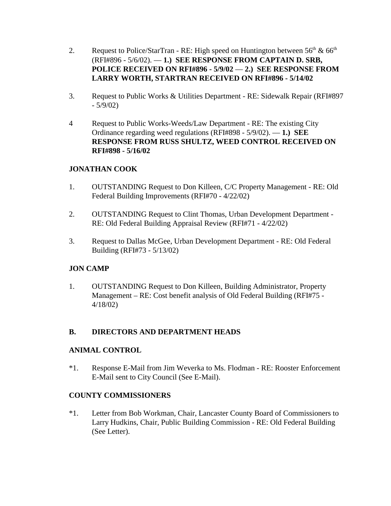- 2. Request to Police/StarTran RE: High speed on Huntington between  $56<sup>th</sup>$  &  $66<sup>th</sup>$ (RFI#896 - 5/6/02). — **1.) SEE RESPONSE FROM CAPTAIN D. SRB, POLICE RECEIVED ON RFI#896 - 5/9/02** — **2.) SEE RESPONSE FROM LARRY WORTH, STARTRAN RECEIVED ON RFI#896 - 5/14/02**
- 3. Request to Public Works & Utilities Department RE: Sidewalk Repair (RFI#897 - 5/9/02)
- 4 Request to Public Works-Weeds/Law Department RE: The existing City Ordinance regarding weed regulations (RFI#898 - 5/9/02). — **1.) SEE RESPONSE FROM RUSS SHULTZ, WEED CONTROL RECEIVED ON RFI#898 - 5/16/02**

# **JONATHAN COOK**

- 1. OUTSTANDING Request to Don Killeen, C/C Property Management RE: Old Federal Building Improvements (RFI#70 - 4/22/02)
- 2. OUTSTANDING Request to Clint Thomas, Urban Development Department RE: Old Federal Building Appraisal Review (RFI#71 - 4/22/02)
- 3. Request to Dallas McGee, Urban Development Department RE: Old Federal Building (RFI#73 - 5/13/02)

# **JON CAMP**

1. OUTSTANDING Request to Don Killeen, Building Administrator, Property Management – RE: Cost benefit analysis of Old Federal Building (RFI#75 - 4/18/02)

# **B. DIRECTORS AND DEPARTMENT HEADS**

# **ANIMAL CONTROL**

\*1. Response E-Mail from Jim Weverka to Ms. Flodman - RE: Rooster Enforcement E-Mail sent to City Council (See E-Mail).

# **COUNTY COMMISSIONERS**

\*1. Letter from Bob Workman, Chair, Lancaster County Board of Commissioners to Larry Hudkins, Chair, Public Building Commission - RE: Old Federal Building (See Letter).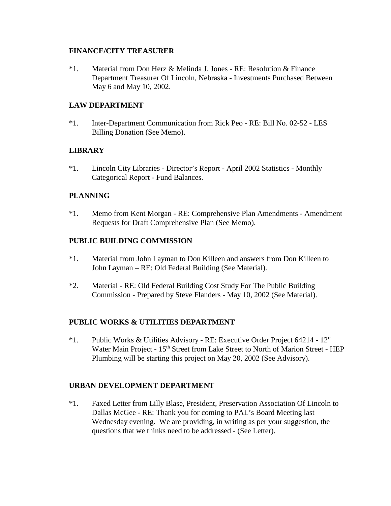### **FINANCE/CITY TREASURER**

\*1. Material from Don Herz & Melinda J. Jones - RE: Resolution & Finance Department Treasurer Of Lincoln, Nebraska - Investments Purchased Between May 6 and May 10, 2002.

# **LAW DEPARTMENT**

\*1. Inter-Department Communication from Rick Peo - RE: Bill No. 02-52 - LES Billing Donation (See Memo).

### **LIBRARY**

\*1. Lincoln City Libraries - Director's Report - April 2002 Statistics - Monthly Categorical Report - Fund Balances.

# **PLANNING**

\*1. Memo from Kent Morgan - RE: Comprehensive Plan Amendments - Amendment Requests for Draft Comprehensive Plan (See Memo).

### **PUBLIC BUILDING COMMISSION**

- \*1. Material from John Layman to Don Killeen and answers from Don Killeen to John Layman – RE: Old Federal Building (See Material).
- \*2. Material RE: Old Federal Building Cost Study For The Public Building Commission - Prepared by Steve Flanders - May 10, 2002 (See Material).

# **PUBLIC WORKS & UTILITIES DEPARTMENT**

\*1. Public Works & Utilities Advisory - RE: Executive Order Project 64214 - 12" Water Main Project - 15<sup>th</sup> Street from Lake Street to North of Marion Street - HEP Plumbing will be starting this project on May 20, 2002 (See Advisory).

#### **URBAN DEVELOPMENT DEPARTMENT**

\*1. Faxed Letter from Lilly Blase, President, Preservation Association Of Lincoln to Dallas McGee - RE: Thank you for coming to PAL's Board Meeting last Wednesday evening. We are providing, in writing as per your suggestion, the questions that we thinks need to be addressed - (See Letter).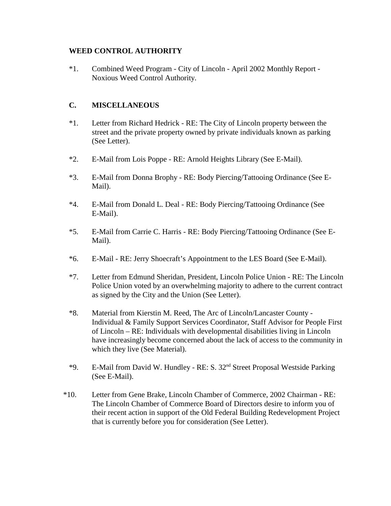### **WEED CONTROL AUTHORITY**

\*1. Combined Weed Program - City of Lincoln - April 2002 Monthly Report - Noxious Weed Control Authority.

# **C. MISCELLANEOUS**

- \*1. Letter from Richard Hedrick RE: The City of Lincoln property between the street and the private property owned by private individuals known as parking (See Letter).
- \*2. E-Mail from Lois Poppe RE: Arnold Heights Library (See E-Mail).
- \*3. E-Mail from Donna Brophy RE: Body Piercing/Tattooing Ordinance (See E-Mail).
- \*4. E-Mail from Donald L. Deal RE: Body Piercing/Tattooing Ordinance (See E-Mail).
- \*5. E-Mail from Carrie C. Harris RE: Body Piercing/Tattooing Ordinance (See E-Mail).
- \*6. E-Mail RE: Jerry Shoecraft's Appointment to the LES Board (See E-Mail).
- \*7. Letter from Edmund Sheridan, President, Lincoln Police Union RE: The Lincoln Police Union voted by an overwhelming majority to adhere to the current contract as signed by the City and the Union (See Letter).
- \*8. Material from Kierstin M. Reed, The Arc of Lincoln/Lancaster County Individual & Family Support Services Coordinator, Staff Advisor for People First of Lincoln – RE: Individuals with developmental disabilities living in Lincoln have increasingly become concerned about the lack of access to the community in which they live (See Material).
- \*9. E-Mail from David W. Hundley RE: S. 32nd Street Proposal Westside Parking (See E-Mail).
- \*10. Letter from Gene Brake, Lincoln Chamber of Commerce, 2002 Chairman RE: The Lincoln Chamber of Commerce Board of Directors desire to inform you of their recent action in support of the Old Federal Building Redevelopment Project that is currently before you for consideration (See Letter).